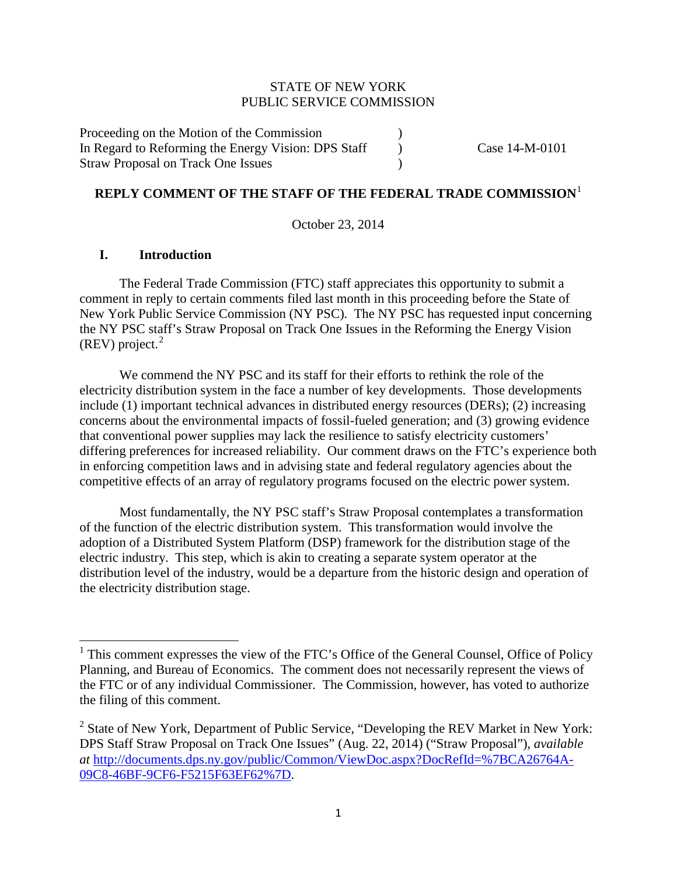## STATE OF NEW YORK PUBLIC SERVICE COMMISSION

Proceeding on the Motion of the Commission ) In Regard to Reforming the Energy Vision: DPS Staff (Case 14-M-0101) Straw Proposal on Track One Issues (a)

#### **REPLY COMMENT OF THE STAFF OF THE FEDERAL TRADE COMMISSION**[1](#page-0-0)

October 23, 2014

### **I. Introduction**

The Federal Trade Commission (FTC) staff appreciates this opportunity to submit a comment in reply to certain comments filed last month in this proceeding before the State of New York Public Service Commission (NY PSC). The NY PSC has requested input concerning the NY PSC staff's Straw Proposal on Track One Issues in the Reforming the Energy Vision  $(REV)$  project.<sup>[2](#page-0-1)</sup>

We commend the NY PSC and its staff for their efforts to rethink the role of the electricity distribution system in the face a number of key developments. Those developments include (1) important technical advances in distributed energy resources (DERs); (2) increasing concerns about the environmental impacts of fossil-fueled generation; and (3) growing evidence that conventional power supplies may lack the resilience to satisfy electricity customers' differing preferences for increased reliability. Our comment draws on the FTC's experience both in enforcing competition laws and in advising state and federal regulatory agencies about the competitive effects of an array of regulatory programs focused on the electric power system.

Most fundamentally, the NY PSC staff's Straw Proposal contemplates a transformation of the function of the electric distribution system. This transformation would involve the adoption of a Distributed System Platform (DSP) framework for the distribution stage of the electric industry. This step, which is akin to creating a separate system operator at the distribution level of the industry, would be a departure from the historic design and operation of the electricity distribution stage.

<span id="page-0-0"></span><sup>&</sup>lt;sup>1</sup> This comment expresses the view of the FTC's Office of the General Counsel, Office of Policy Planning, and Bureau of Economics. The comment does not necessarily represent the views of the FTC or of any individual Commissioner. The Commission, however, has voted to authorize the filing of this comment.

<span id="page-0-1"></span><sup>2</sup> State of New York, Department of Public Service, "Developing the REV Market in New York: DPS Staff Straw Proposal on Track One Issues" (Aug. 22, 2014) ("Straw Proposal"), *available at* [http://documents.dps.ny.gov/public/Common/ViewDoc.aspx?DocRefId=%7BCA26764A-](http://documents.dps.ny.gov/public/Common/ViewDoc.aspx?DocRefId=%7BCA26764A-09C8-46BF-9CF6-F5215F63EF62%7D)[09C8-46BF-9CF6-F5215F63EF62%7D.](http://documents.dps.ny.gov/public/Common/ViewDoc.aspx?DocRefId=%7BCA26764A-09C8-46BF-9CF6-F5215F63EF62%7D)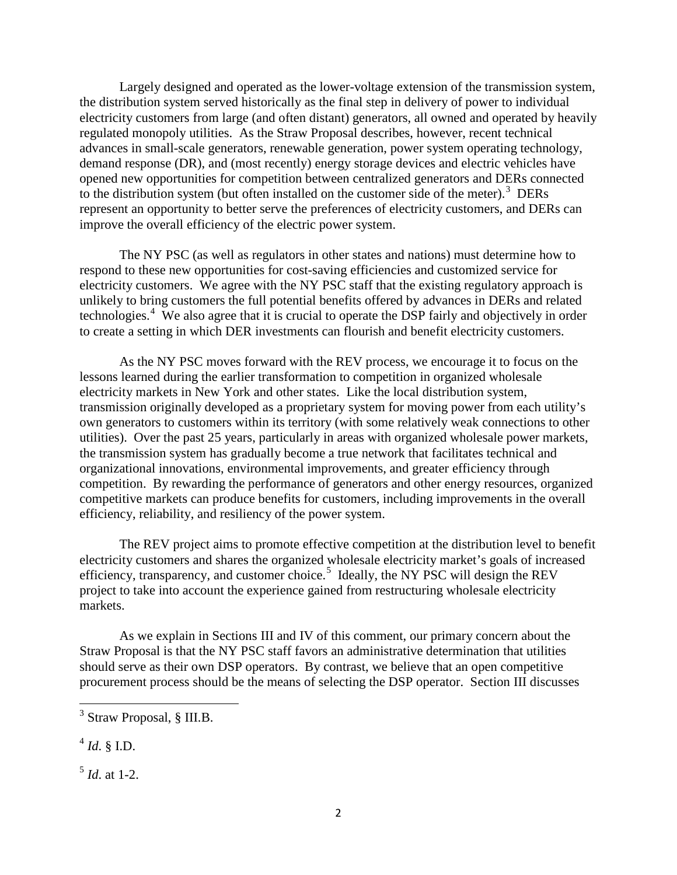Largely designed and operated as the lower-voltage extension of the transmission system, the distribution system served historically as the final step in delivery of power to individual electricity customers from large (and often distant) generators, all owned and operated by heavily regulated monopoly utilities. As the Straw Proposal describes, however, recent technical advances in small-scale generators, renewable generation, power system operating technology, demand response (DR), and (most recently) energy storage devices and electric vehicles have opened new opportunities for competition between centralized generators and DERs connected to the distribution system (but often installed on the customer side of the meter).<sup>[3](#page-1-0)</sup> DERs represent an opportunity to better serve the preferences of electricity customers, and DERs can improve the overall efficiency of the electric power system.

The NY PSC (as well as regulators in other states and nations) must determine how to respond to these new opportunities for cost-saving efficiencies and customized service for electricity customers. We agree with the NY PSC staff that the existing regulatory approach is unlikely to bring customers the full potential benefits offered by advances in DERs and related technologies.<sup>[4](#page-1-1)</sup> We also agree that it is crucial to operate the DSP fairly and objectively in order to create a setting in which DER investments can flourish and benefit electricity customers.

As the NY PSC moves forward with the REV process, we encourage it to focus on the lessons learned during the earlier transformation to competition in organized wholesale electricity markets in New York and other states. Like the local distribution system, transmission originally developed as a proprietary system for moving power from each utility's own generators to customers within its territory (with some relatively weak connections to other utilities). Over the past 25 years, particularly in areas with organized wholesale power markets, the transmission system has gradually become a true network that facilitates technical and organizational innovations, environmental improvements, and greater efficiency through competition. By rewarding the performance of generators and other energy resources, organized competitive markets can produce benefits for customers, including improvements in the overall efficiency, reliability, and resiliency of the power system.

The REV project aims to promote effective competition at the distribution level to benefit electricity customers and shares the organized wholesale electricity market's goals of increased efficiency, transparency, and customer choice.<sup>[5](#page-1-2)</sup> Ideally, the NY PSC will design the REV project to take into account the experience gained from restructuring wholesale electricity markets.

As we explain in Sections III and IV of this comment, our primary concern about the Straw Proposal is that the NY PSC staff favors an administrative determination that utilities should serve as their own DSP operators. By contrast, we believe that an open competitive procurement process should be the means of selecting the DSP operator. Section III discusses

<span id="page-1-1"></span> $^{4}$  *Id.* § I.D.

<span id="page-1-2"></span> $^5$  *Id* at 1-2.

<span id="page-1-0"></span><sup>3</sup> Straw Proposal, § III.B.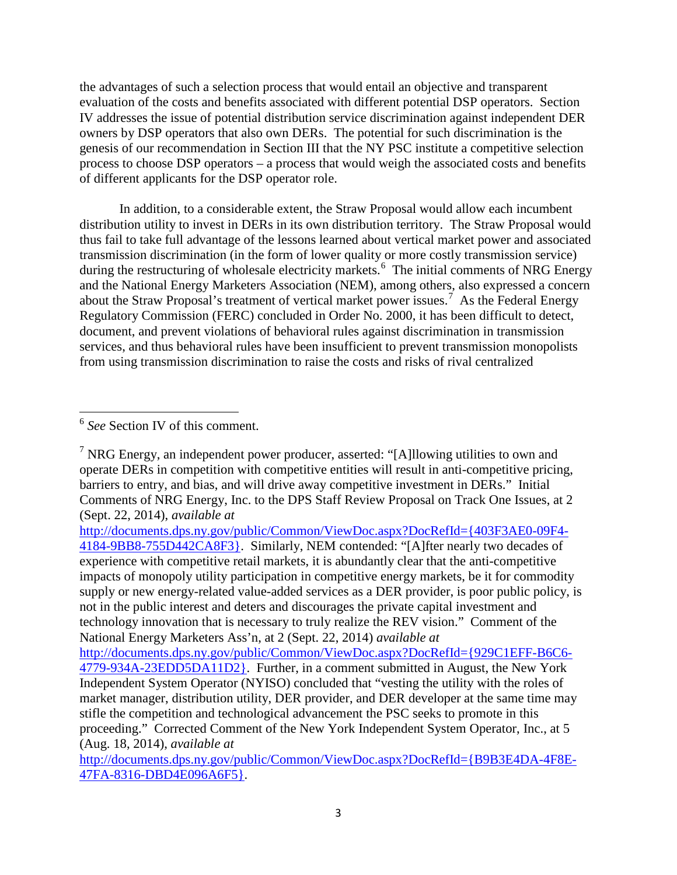the advantages of such a selection process that would entail an objective and transparent evaluation of the costs and benefits associated with different potential DSP operators. Section IV addresses the issue of potential distribution service discrimination against independent DER owners by DSP operators that also own DERs. The potential for such discrimination is the genesis of our recommendation in Section III that the NY PSC institute a competitive selection process to choose DSP operators – a process that would weigh the associated costs and benefits of different applicants for the DSP operator role.

In addition, to a considerable extent, the Straw Proposal would allow each incumbent distribution utility to invest in DERs in its own distribution territory. The Straw Proposal would thus fail to take full advantage of the lessons learned about vertical market power and associated transmission discrimination (in the form of lower quality or more costly transmission service) during the restructuring of wholesale electricity markets.<sup>[6](#page-2-0)</sup> The initial comments of NRG Energy and the National Energy Marketers Association (NEM), among others, also expressed a concern about the Straw Proposal's treatment of vertical market power issues. [7](#page-2-1) As the Federal Energy Regulatory Commission (FERC) concluded in Order No. 2000, it has been difficult to detect, document, and prevent violations of behavioral rules against discrimination in transmission services, and thus behavioral rules have been insufficient to prevent transmission monopolists from using transmission discrimination to raise the costs and risks of rival centralized

[http://documents.dps.ny.gov/public/Common/ViewDoc.aspx?DocRefId={403F3AE0-09F4-](http://documents.dps.ny.gov/public/Common/ViewDoc.aspx?DocRefId=%7b403F3AE0-09F4-4184-9BB8-755D442CA8F3%7d) [4184-9BB8-755D442CA8F3}.](http://documents.dps.ny.gov/public/Common/ViewDoc.aspx?DocRefId=%7b403F3AE0-09F4-4184-9BB8-755D442CA8F3%7d) Similarly, NEM contended: "[A]fter nearly two decades of experience with competitive retail markets, it is abundantly clear that the anti-competitive impacts of monopoly utility participation in competitive energy markets, be it for commodity supply or new energy-related value-added services as a DER provider, is poor public policy, is not in the public interest and deters and discourages the private capital investment and technology innovation that is necessary to truly realize the REV vision." Comment of the National Energy Marketers Ass'n, at 2 (Sept. 22, 2014) *available at*

[http://documents.dps.ny.gov/public/Common/ViewDoc.aspx?DocRefId={929C1EFF-B6C6-](http://documents.dps.ny.gov/public/Common/ViewDoc.aspx?DocRefId=%7b929C1EFF-B6C6-4779-934A-23EDD5DA11D2%7d) [4779-934A-23EDD5DA11D2}.](http://documents.dps.ny.gov/public/Common/ViewDoc.aspx?DocRefId=%7b929C1EFF-B6C6-4779-934A-23EDD5DA11D2%7d) Further, in a comment submitted in August, the New York Independent System Operator (NYISO) concluded that "vesting the utility with the roles of market manager, distribution utility, DER provider, and DER developer at the same time may stifle the competition and technological advancement the PSC seeks to promote in this proceeding." Corrected Comment of the New York Independent System Operator, Inc., at 5 (Aug. 18, 2014), *available at*

[http://documents.dps.ny.gov/public/Common/ViewDoc.aspx?DocRefId={B9B3E4DA-4F8E-](http://documents.dps.ny.gov/public/Common/ViewDoc.aspx?DocRefId=%7bB9B3E4DA-4F8E-47FA-8316-DBD4E096A6F5%7d)[47FA-8316-DBD4E096A6F5}.](http://documents.dps.ny.gov/public/Common/ViewDoc.aspx?DocRefId=%7bB9B3E4DA-4F8E-47FA-8316-DBD4E096A6F5%7d)

<span id="page-2-0"></span><sup>6</sup> *See* Section IV of this comment.

<span id="page-2-1"></span><sup>&</sup>lt;sup>7</sup> NRG Energy, an independent power producer, asserted: "[A]llowing utilities to own and operate DERs in competition with competitive entities will result in anti-competitive pricing, barriers to entry, and bias, and will drive away competitive investment in DERs." Initial Comments of NRG Energy, Inc. to the DPS Staff Review Proposal on Track One Issues, at 2 (Sept. 22, 2014), *available at*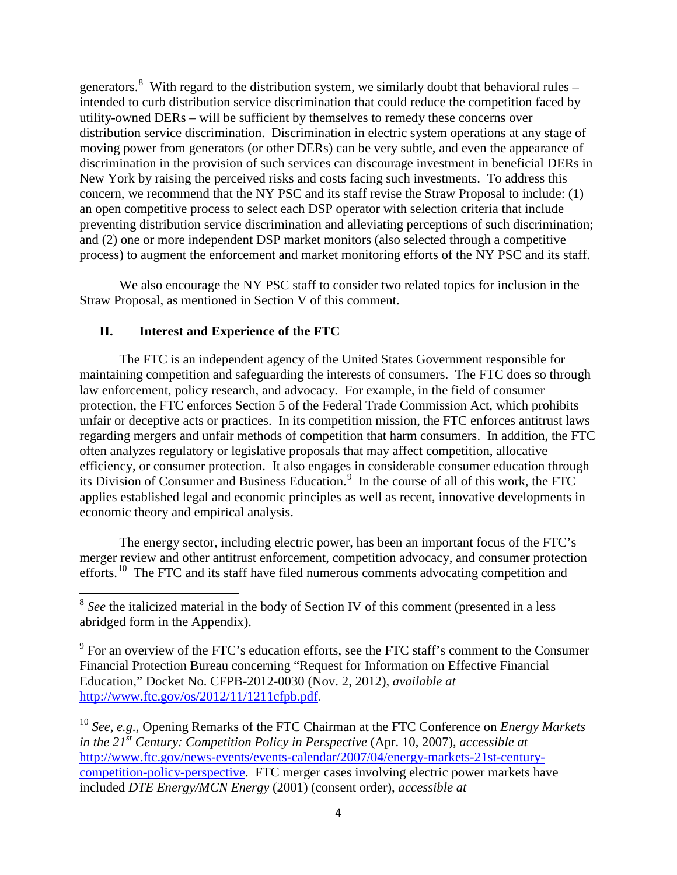generators.<sup>[8](#page-3-0)</sup> With regard to the distribution system, we similarly doubt that behavioral rules – intended to curb distribution service discrimination that could reduce the competition faced by utility-owned DERs – will be sufficient by themselves to remedy these concerns over distribution service discrimination. Discrimination in electric system operations at any stage of moving power from generators (or other DERs) can be very subtle, and even the appearance of discrimination in the provision of such services can discourage investment in beneficial DERs in New York by raising the perceived risks and costs facing such investments. To address this concern, we recommend that the NY PSC and its staff revise the Straw Proposal to include: (1) an open competitive process to select each DSP operator with selection criteria that include preventing distribution service discrimination and alleviating perceptions of such discrimination; and (2) one or more independent DSP market monitors (also selected through a competitive process) to augment the enforcement and market monitoring efforts of the NY PSC and its staff.

We also encourage the NY PSC staff to consider two related topics for inclusion in the Straw Proposal, as mentioned in Section V of this comment.

## **II. Interest and Experience of the FTC**

The FTC is an independent agency of the United States Government responsible for maintaining competition and safeguarding the interests of consumers. The FTC does so through law enforcement, policy research, and advocacy. For example, in the field of consumer protection, the FTC enforces Section 5 of the Federal Trade Commission Act, which prohibits unfair or deceptive acts or practices. In its competition mission, the FTC enforces antitrust laws regarding mergers and unfair methods of competition that harm consumers. In addition, the FTC often analyzes regulatory or legislative proposals that may affect competition, allocative efficiency, or consumer protection. It also engages in considerable consumer education through its Division of Consumer and Business Education.<sup>[9](#page-3-1)</sup> In the course of all of this work, the FTC applies established legal and economic principles as well as recent, innovative developments in economic theory and empirical analysis.

The energy sector, including electric power, has been an important focus of the FTC's merger review and other antitrust enforcement, competition advocacy, and consumer protection efforts.[10](#page-3-2) The FTC and its staff have filed numerous comments advocating competition and

<span id="page-3-0"></span><sup>&</sup>lt;sup>8</sup> See the italicized material in the body of Section IV of this comment (presented in a less abridged form in the Appendix).

<span id="page-3-1"></span> $9^9$  For an overview of the FTC's education efforts, see the FTC staff's comment to the Consumer Financial Protection Bureau concerning "Request for Information on Effective Financial Education," Docket No. CFPB-2012-0030 (Nov. 2, 2012), *available at*  [http://www.ftc.gov/os/2012/11/1211cfpb.pdf.](http://www.ftc.gov/os/2012/11/1211cfpb.pdf)

<span id="page-3-2"></span><sup>10</sup> *See*, *e.g.*, Opening Remarks of the FTC Chairman at the FTC Conference on *Energy Markets in the 21st Century: Competition Policy in Perspective* (Apr. 10, 2007), *accessible at* [http://www.ftc.gov/news-events/events-calendar/2007/04/energy-markets-21st-century](http://www.ftc.gov/news-events/events-calendar/2007/04/energy-markets-21st-century-competition-policy-perspective)[competition-policy-perspective.](http://www.ftc.gov/news-events/events-calendar/2007/04/energy-markets-21st-century-competition-policy-perspective) FTC merger cases involving electric power markets have included *DTE Energy/MCN Energy* (2001) (consent order), *accessible at*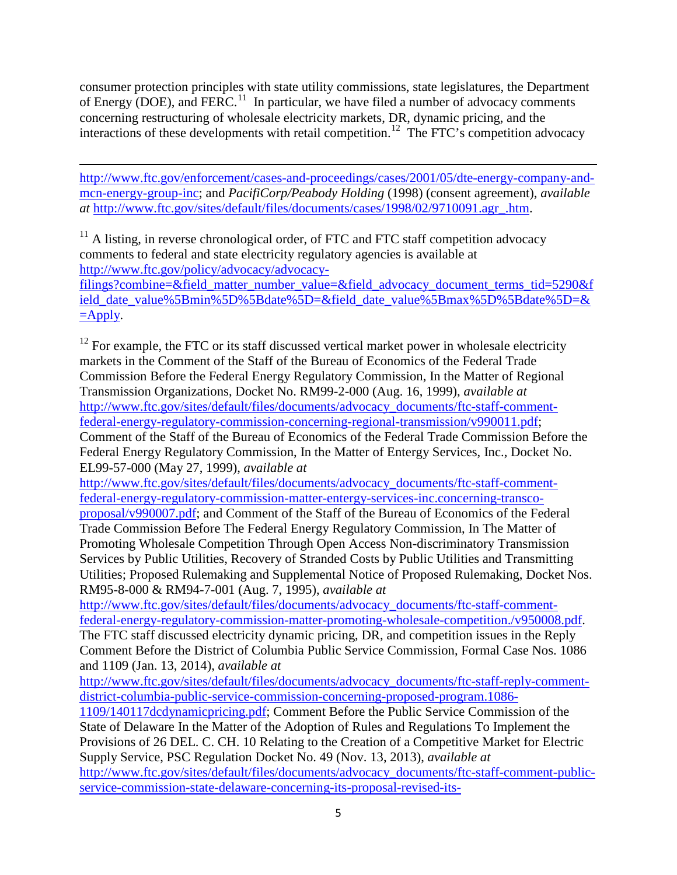consumer protection principles with state utility commissions, state legislatures, the Department of Energy (DOE), and  $FERC<sup>11</sup>$  $FERC<sup>11</sup>$  $FERC<sup>11</sup>$  In particular, we have filed a number of advocacy comments concerning restructuring of wholesale electricity markets, DR, dynamic pricing, and the interactions of these developments with retail competition.<sup>[12](#page-4-1)</sup> The FTC's competition advocacy

l [http://www.ftc.gov/enforcement/cases-and-proceedings/cases/2001/05/dte-energy-company-and](http://www.ftc.gov/enforcement/cases-and-proceedings/cases/2001/05/dte-energy-company-and-mcn-energy-group-inc)[mcn-energy-group-inc;](http://www.ftc.gov/enforcement/cases-and-proceedings/cases/2001/05/dte-energy-company-and-mcn-energy-group-inc) and *PacifiCorp/Peabody Holding* (1998) (consent agreement), *available at* [http://www.ftc.gov/sites/default/files/documents/cases/1998/02/9710091.agr\\_.htm.](http://www.ftc.gov/sites/default/files/documents/cases/1998/02/9710091.agr_.htm)

<span id="page-4-0"></span> $11$  A listing, in reverse chronological order, of FTC and FTC staff competition advocacy comments to federal and state electricity regulatory agencies is available at [http://www.ftc.gov/policy/advocacy/advocacy](http://www.ftc.gov/policy/advocacy/advocacy-filings?combine=&field_matter_number_value=&field_advocacy_document_terms_tid=5290&field_date_value%5Bmin%5D%5Bdate%5D=&field_date_value%5Bmax%5D%5Bdate%5D=&=Apply)[filings?combine=&field\\_matter\\_number\\_value=&field\\_advocacy\\_document\\_terms\\_tid=5290&f](http://www.ftc.gov/policy/advocacy/advocacy-filings?combine=&field_matter_number_value=&field_advocacy_document_terms_tid=5290&field_date_value%5Bmin%5D%5Bdate%5D=&field_date_value%5Bmax%5D%5Bdate%5D=&=Apply) [ield\\_date\\_value%5Bmin%5D%5Bdate%5D=&field\\_date\\_value%5Bmax%5D%5Bdate%5D=&](http://www.ftc.gov/policy/advocacy/advocacy-filings?combine=&field_matter_number_value=&field_advocacy_document_terms_tid=5290&field_date_value%5Bmin%5D%5Bdate%5D=&field_date_value%5Bmax%5D%5Bdate%5D=&=Apply)  $=\pmb{\quad$ text{Apply.}

<span id="page-4-1"></span> $12$  For example, the FTC or its staff discussed vertical market power in wholesale electricity markets in the Comment of the Staff of the Bureau of Economics of the Federal Trade Commission Before the Federal Energy Regulatory Commission, In the Matter of Regional Transmission Organizations, Docket No. RM99-2-000 (Aug. 16, 1999), *available at* [http://www.ftc.gov/sites/default/files/documents/advocacy\\_documents/ftc-staff-comment](http://www.ftc.gov/sites/default/files/documents/advocacy_documents/ftc-staff-comment-federal-energy-regulatory-commission-concerning-regional-transmission/v990011.pdf)[federal-energy-regulatory-commission-concerning-regional-transmission/v990011.pdf;](http://www.ftc.gov/sites/default/files/documents/advocacy_documents/ftc-staff-comment-federal-energy-regulatory-commission-concerning-regional-transmission/v990011.pdf) Comment of the Staff of the Bureau of Economics of the Federal Trade Commission Before the Federal Energy Regulatory Commission, In the Matter of Entergy Services, Inc., Docket No. EL99-57-000 (May 27, 1999), *available at*

[http://www.ftc.gov/sites/default/files/documents/advocacy\\_documents/ftc-staff-comment](http://www.ftc.gov/sites/default/files/documents/advocacy_documents/ftc-staff-comment-federal-energy-regulatory-commission-matter-entergy-services-inc.concerning-transco-proposal/v990007.pdf)[federal-energy-regulatory-commission-matter-entergy-services-inc.concerning-transco-](http://www.ftc.gov/sites/default/files/documents/advocacy_documents/ftc-staff-comment-federal-energy-regulatory-commission-matter-entergy-services-inc.concerning-transco-proposal/v990007.pdf)

[proposal/v990007.pdf;](http://www.ftc.gov/sites/default/files/documents/advocacy_documents/ftc-staff-comment-federal-energy-regulatory-commission-matter-entergy-services-inc.concerning-transco-proposal/v990007.pdf) and Comment of the Staff of the Bureau of Economics of the Federal Trade Commission Before The Federal Energy Regulatory Commission, In The Matter of Promoting Wholesale Competition Through Open Access Non-discriminatory Transmission Services by Public Utilities, Recovery of Stranded Costs by Public Utilities and Transmitting Utilities; Proposed Rulemaking and Supplemental Notice of Proposed Rulemaking, Docket Nos. RM95-8-000 & RM94-7-001 (Aug. 7, 1995), *available at*

[http://www.ftc.gov/sites/default/files/documents/advocacy\\_documents/ftc-staff-comment](http://www.ftc.gov/sites/default/files/documents/advocacy_documents/ftc-staff-comment-federal-energy-regulatory-commission-matter-promoting-wholesale-competition./v950008.pdf)[federal-energy-regulatory-commission-matter-promoting-wholesale-competition./v950008.pdf.](http://www.ftc.gov/sites/default/files/documents/advocacy_documents/ftc-staff-comment-federal-energy-regulatory-commission-matter-promoting-wholesale-competition./v950008.pdf) The FTC staff discussed electricity dynamic pricing, DR, and competition issues in the Reply Comment Before the District of Columbia Public Service Commission, Formal Case Nos. 1086 and 1109 (Jan. 13, 2014), *available at*

[http://www.ftc.gov/sites/default/files/documents/advocacy\\_documents/ftc-staff-reply-comment](http://www.ftc.gov/sites/default/files/documents/advocacy_documents/ftc-staff-reply-comment-district-columbia-public-service-commission-concerning-proposed-program.1086-1109/140117dcdynamicpricing.pdf)[district-columbia-public-service-commission-concerning-proposed-program.1086-](http://www.ftc.gov/sites/default/files/documents/advocacy_documents/ftc-staff-reply-comment-district-columbia-public-service-commission-concerning-proposed-program.1086-1109/140117dcdynamicpricing.pdf)

[1109/140117dcdynamicpricing.pdf;](http://www.ftc.gov/sites/default/files/documents/advocacy_documents/ftc-staff-reply-comment-district-columbia-public-service-commission-concerning-proposed-program.1086-1109/140117dcdynamicpricing.pdf) Comment Before the Public Service Commission of the State of Delaware In the Matter of the Adoption of Rules and Regulations To Implement the Provisions of 26 DEL. C. CH. 10 Relating to the Creation of a Competitive Market for Electric Supply Service, PSC Regulation Docket No. 49 (Nov. 13, 2013), *available at* [http://www.ftc.gov/sites/default/files/documents/advocacy\\_documents/ftc-staff-comment-public](http://www.ftc.gov/sites/default/files/documents/advocacy_documents/ftc-staff-comment-public-service-commission-state-delaware-concerning-its-proposal-revised-its-rules/131114delawareretailelectric.pdf)[service-commission-state-delaware-concerning-its-proposal-revised-its-](http://www.ftc.gov/sites/default/files/documents/advocacy_documents/ftc-staff-comment-public-service-commission-state-delaware-concerning-its-proposal-revised-its-rules/131114delawareretailelectric.pdf)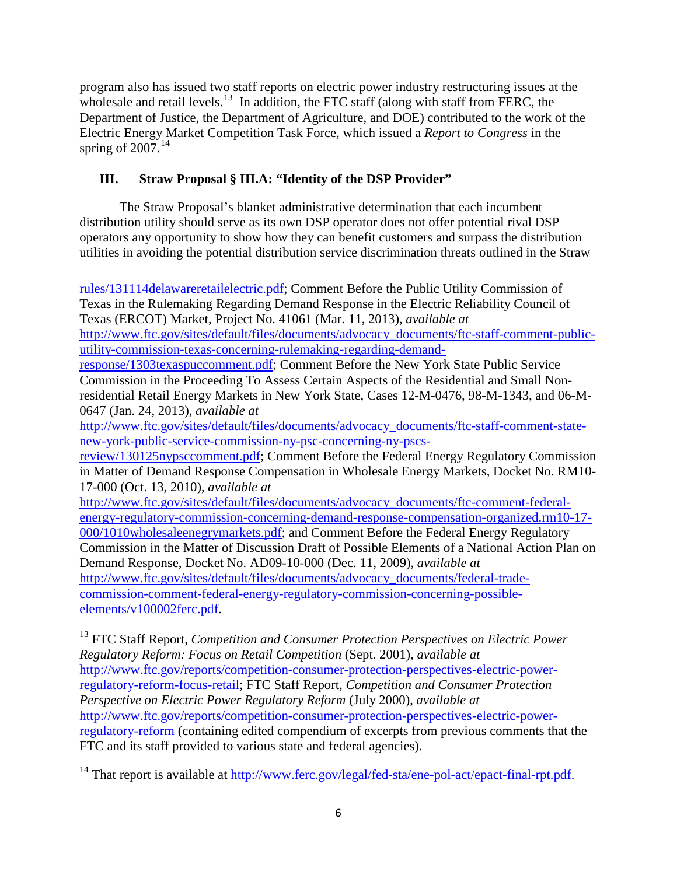program also has issued two staff reports on electric power industry restructuring issues at the wholesale and retail levels.<sup>13</sup> In addition, the FTC staff (along with staff from FERC, the Department of Justice, the Department of Agriculture, and DOE) contributed to the work of the Electric Energy Market Competition Task Force, which issued a *Report to Congress* in the spring of  $2007.<sup>14</sup>$  $2007.<sup>14</sup>$  $2007.<sup>14</sup>$ 

# **III. Straw Proposal § III.A: "Identity of the DSP Provider"**

l

The Straw Proposal's blanket administrative determination that each incumbent distribution utility should serve as its own DSP operator does not offer potential rival DSP operators any opportunity to show how they can benefit customers and surpass the distribution utilities in avoiding the potential distribution service discrimination threats outlined in the Straw

[rules/131114delawareretailelectric.pdf;](http://www.ftc.gov/sites/default/files/documents/advocacy_documents/ftc-staff-comment-public-service-commission-state-delaware-concerning-its-proposal-revised-its-rules/131114delawareretailelectric.pdf) Comment Before the Public Utility Commission of Texas in the Rulemaking Regarding Demand Response in the Electric Reliability Council of Texas (ERCOT) Market, Project No. 41061 (Mar. 11, 2013), *available at* [http://www.ftc.gov/sites/default/files/documents/advocacy\\_documents/ftc-staff-comment-public](http://www.ftc.gov/sites/default/files/documents/advocacy_documents/ftc-staff-comment-public-utility-commission-texas-concerning-rulemaking-regarding-demand-response/1303texaspuccomment.pdf)[utility-commission-texas-concerning-rulemaking-regarding-demand](http://www.ftc.gov/sites/default/files/documents/advocacy_documents/ftc-staff-comment-public-utility-commission-texas-concerning-rulemaking-regarding-demand-response/1303texaspuccomment.pdf)[response/1303texaspuccomment.pdf;](http://www.ftc.gov/sites/default/files/documents/advocacy_documents/ftc-staff-comment-public-utility-commission-texas-concerning-rulemaking-regarding-demand-response/1303texaspuccomment.pdf) Comment Before the New York State Public Service Commission in the Proceeding To Assess Certain Aspects of the Residential and Small Nonresidential Retail Energy Markets in New York State, Cases 12-M-0476, 98-M-1343, and 06-M-0647 (Jan. 24, 2013), *available at* [http://www.ftc.gov/sites/default/files/documents/advocacy\\_documents/ftc-staff-comment-state](http://www.ftc.gov/sites/default/files/documents/advocacy_documents/ftc-staff-comment-state-new-york-public-service-commission-ny-psc-concerning-ny-pscs-review/130125nypsccomment.pdf)[new-york-public-service-commission-ny-psc-concerning-ny-pscs](http://www.ftc.gov/sites/default/files/documents/advocacy_documents/ftc-staff-comment-state-new-york-public-service-commission-ny-psc-concerning-ny-pscs-review/130125nypsccomment.pdf)[review/130125nypsccomment.pdf;](http://www.ftc.gov/sites/default/files/documents/advocacy_documents/ftc-staff-comment-state-new-york-public-service-commission-ny-psc-concerning-ny-pscs-review/130125nypsccomment.pdf) Comment Before the Federal Energy Regulatory Commission in Matter of Demand Response Compensation in Wholesale Energy Markets, Docket No. RM10- 17-000 (Oct. 13, 2010), *available at* [http://www.ftc.gov/sites/default/files/documents/advocacy\\_documents/ftc-comment-federal](http://www.ftc.gov/sites/default/files/documents/advocacy_documents/ftc-comment-federal-energy-regulatory-commission-concerning-demand-response-compensation-organized.rm10-17-000/1010wholesaleenegrymarkets.pdf)[energy-regulatory-commission-concerning-demand-response-compensation-organized.rm10-17-](http://www.ftc.gov/sites/default/files/documents/advocacy_documents/ftc-comment-federal-energy-regulatory-commission-concerning-demand-response-compensation-organized.rm10-17-000/1010wholesaleenegrymarkets.pdf) [000/1010wholesaleenegrymarkets.pdf;](http://www.ftc.gov/sites/default/files/documents/advocacy_documents/ftc-comment-federal-energy-regulatory-commission-concerning-demand-response-compensation-organized.rm10-17-000/1010wholesaleenegrymarkets.pdf) and Comment Before the Federal Energy Regulatory Commission in the Matter of Discussion Draft of Possible Elements of a National Action Plan on Demand Response, Docket No. AD09-10-000 (Dec. 11, 2009), *available at* [http://www.ftc.gov/sites/default/files/documents/advocacy\\_documents/federal-trade](http://www.ftc.gov/sites/default/files/documents/advocacy_documents/federal-trade-commission-comment-federal-energy-regulatory-commission-concerning-possible-elements/v100002ferc.pdf)[commission-comment-federal-energy-regulatory-commission-concerning-possible](http://www.ftc.gov/sites/default/files/documents/advocacy_documents/federal-trade-commission-comment-federal-energy-regulatory-commission-concerning-possible-elements/v100002ferc.pdf)[elements/v100002ferc.pdf.](http://www.ftc.gov/sites/default/files/documents/advocacy_documents/federal-trade-commission-comment-federal-energy-regulatory-commission-concerning-possible-elements/v100002ferc.pdf)

<span id="page-5-0"></span><sup>13</sup> FTC Staff Report, *Competition and Consumer Protection Perspectives on Electric Power Regulatory Reform: Focus on Retail Competition* (Sept. 2001), *available at* [http://www.ftc.gov/reports/competition-consumer-protection-perspectives-electric-power](http://www.ftc.gov/reports/competition-consumer-protection-perspectives-electric-power-regulatory-reform-focus-retail)[regulatory-reform-focus-retail;](http://www.ftc.gov/reports/competition-consumer-protection-perspectives-electric-power-regulatory-reform-focus-retail) FTC Staff Report, *Competition and Consumer Protection Perspective on Electric Power Regulatory Reform* (July 2000), *available at*  [http://www.ftc.gov/reports/competition-consumer-protection-perspectives-electric-power](http://www.ftc.gov/reports/competition-consumer-protection-perspectives-electric-power-regulatory-reform)[regulatory-reform](http://www.ftc.gov/reports/competition-consumer-protection-perspectives-electric-power-regulatory-reform) (containing edited compendium of excerpts from previous comments that the FTC and its staff provided to various state and federal agencies).

<span id="page-5-1"></span><sup>14</sup> That report is available at [http://www.ferc.gov/legal/fed-sta/ene-pol-act/epact-final-rpt.pdf.](http://www.ferc.gov/legal/fed-sta/ene-pol-act/epact-final-rpt.pdf)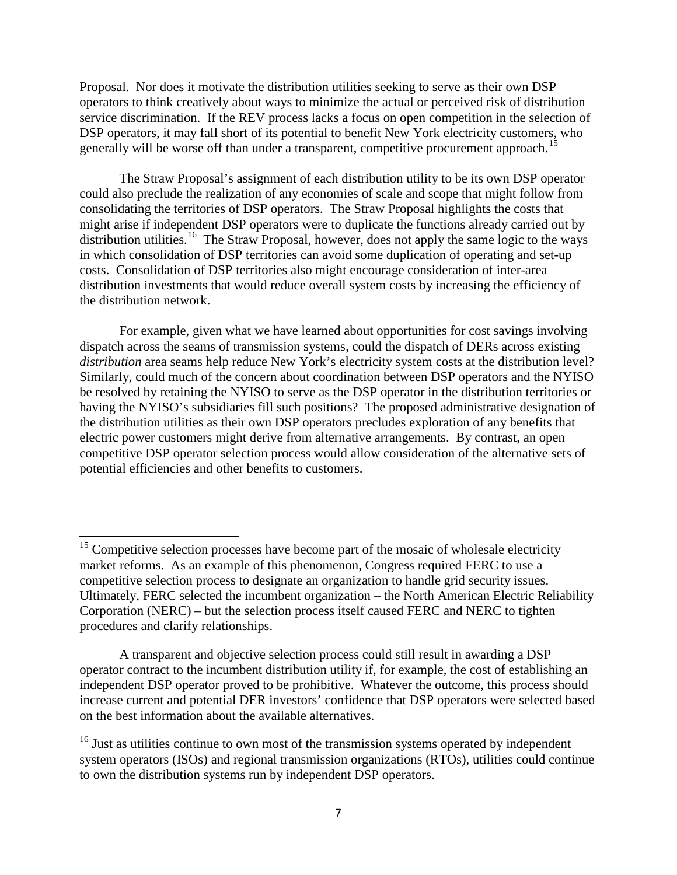Proposal. Nor does it motivate the distribution utilities seeking to serve as their own DSP operators to think creatively about ways to minimize the actual or perceived risk of distribution service discrimination. If the REV process lacks a focus on open competition in the selection of DSP operators, it may fall short of its potential to benefit New York electricity customers, who generally will be worse off than under a transparent, competitive procurement approach.<sup>[15](#page-6-0)</sup>

The Straw Proposal's assignment of each distribution utility to be its own DSP operator could also preclude the realization of any economies of scale and scope that might follow from consolidating the territories of DSP operators. The Straw Proposal highlights the costs that might arise if independent DSP operators were to duplicate the functions already carried out by distribution utilities.<sup>16</sup> The Straw Proposal, however, does not apply the same logic to the ways in which consolidation of DSP territories can avoid some duplication of operating and set-up costs. Consolidation of DSP territories also might encourage consideration of inter-area distribution investments that would reduce overall system costs by increasing the efficiency of the distribution network.

For example, given what we have learned about opportunities for cost savings involving dispatch across the seams of transmission systems, could the dispatch of DERs across existing *distribution* area seams help reduce New York's electricity system costs at the distribution level? Similarly, could much of the concern about coordination between DSP operators and the NYISO be resolved by retaining the NYISO to serve as the DSP operator in the distribution territories or having the NYISO's subsidiaries fill such positions? The proposed administrative designation of the distribution utilities as their own DSP operators precludes exploration of any benefits that electric power customers might derive from alternative arrangements. By contrast, an open competitive DSP operator selection process would allow consideration of the alternative sets of potential efficiencies and other benefits to customers.

<span id="page-6-0"></span><sup>&</sup>lt;sup>15</sup> Competitive selection processes have become part of the mosaic of wholesale electricity market reforms. As an example of this phenomenon, Congress required FERC to use a competitive selection process to designate an organization to handle grid security issues. Ultimately, FERC selected the incumbent organization – the North American Electric Reliability Corporation (NERC) – but the selection process itself caused FERC and NERC to tighten procedures and clarify relationships.

A transparent and objective selection process could still result in awarding a DSP operator contract to the incumbent distribution utility if, for example, the cost of establishing an independent DSP operator proved to be prohibitive. Whatever the outcome, this process should increase current and potential DER investors' confidence that DSP operators were selected based on the best information about the available alternatives.

<span id="page-6-1"></span><sup>&</sup>lt;sup>16</sup> Just as utilities continue to own most of the transmission systems operated by independent system operators (ISOs) and regional transmission organizations (RTOs), utilities could continue to own the distribution systems run by independent DSP operators.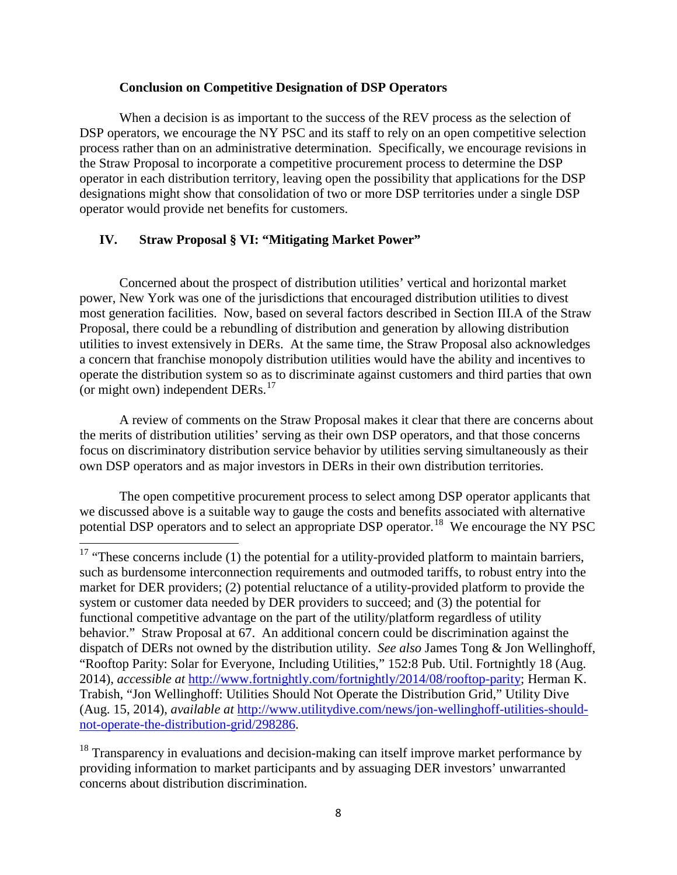### **Conclusion on Competitive Designation of DSP Operators**

When a decision is as important to the success of the REV process as the selection of DSP operators, we encourage the NY PSC and its staff to rely on an open competitive selection process rather than on an administrative determination. Specifically, we encourage revisions in the Straw Proposal to incorporate a competitive procurement process to determine the DSP operator in each distribution territory, leaving open the possibility that applications for the DSP designations might show that consolidation of two or more DSP territories under a single DSP operator would provide net benefits for customers.

## **IV. Straw Proposal § VI: "Mitigating Market Power"**

Concerned about the prospect of distribution utilities' vertical and horizontal market power, New York was one of the jurisdictions that encouraged distribution utilities to divest most generation facilities. Now, based on several factors described in Section III.A of the Straw Proposal, there could be a rebundling of distribution and generation by allowing distribution utilities to invest extensively in DERs. At the same time, the Straw Proposal also acknowledges a concern that franchise monopoly distribution utilities would have the ability and incentives to operate the distribution system so as to discriminate against customers and third parties that own (or might own) independent DERs.<sup>[17](#page-7-0)</sup>

A review of comments on the Straw Proposal makes it clear that there are concerns about the merits of distribution utilities' serving as their own DSP operators, and that those concerns focus on discriminatory distribution service behavior by utilities serving simultaneously as their own DSP operators and as major investors in DERs in their own distribution territories.

The open competitive procurement process to select among DSP operator applicants that we discussed above is a suitable way to gauge the costs and benefits associated with alternative potential DSP operators and to select an appropriate DSP operator.<sup>[18](#page-7-1)</sup> We encourage the NY PSC

<span id="page-7-1"></span><sup>18</sup> Transparency in evaluations and decision-making can itself improve market performance by providing information to market participants and by assuaging DER investors' unwarranted concerns about distribution discrimination.

<span id="page-7-0"></span> $17$  "These concerns include (1) the potential for a utility-provided platform to maintain barriers, such as burdensome interconnection requirements and outmoded tariffs, to robust entry into the market for DER providers; (2) potential reluctance of a utility-provided platform to provide the system or customer data needed by DER providers to succeed; and (3) the potential for functional competitive advantage on the part of the utility/platform regardless of utility behavior." Straw Proposal at 67. An additional concern could be discrimination against the dispatch of DERs not owned by the distribution utility. *See also* James Tong & Jon Wellinghoff, "Rooftop Parity: Solar for Everyone, Including Utilities," 152:8 Pub. Util. Fortnightly 18 (Aug. 2014), *accessible at* [http://www.fortnightly.com/fortnightly/2014/08/rooftop-parity;](http://www.fortnightly.com/fortnightly/2014/08/rooftop-parity) Herman K. Trabish, "Jon Wellinghoff: Utilities Should Not Operate the Distribution Grid," Utility Dive (Aug. 15, 2014), *available at* [http://www.utilitydive.com/news/jon-wellinghoff-utilities-should](http://www.utilitydive.com/news/jon-wellinghoff-utilities-should-not-operate-the-distribution-grid/298286)[not-operate-the-distribution-grid/298286.](http://www.utilitydive.com/news/jon-wellinghoff-utilities-should-not-operate-the-distribution-grid/298286)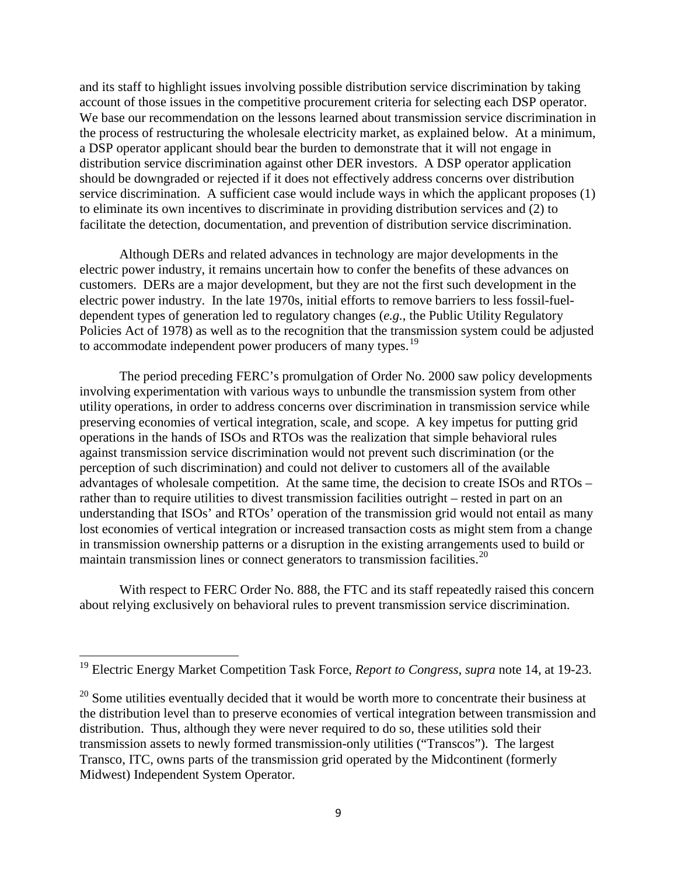and its staff to highlight issues involving possible distribution service discrimination by taking account of those issues in the competitive procurement criteria for selecting each DSP operator. We base our recommendation on the lessons learned about transmission service discrimination in the process of restructuring the wholesale electricity market, as explained below. At a minimum, a DSP operator applicant should bear the burden to demonstrate that it will not engage in distribution service discrimination against other DER investors. A DSP operator application should be downgraded or rejected if it does not effectively address concerns over distribution service discrimination. A sufficient case would include ways in which the applicant proposes (1) to eliminate its own incentives to discriminate in providing distribution services and (2) to facilitate the detection, documentation, and prevention of distribution service discrimination.

Although DERs and related advances in technology are major developments in the electric power industry, it remains uncertain how to confer the benefits of these advances on customers. DERs are a major development, but they are not the first such development in the electric power industry. In the late 1970s, initial efforts to remove barriers to less fossil-fueldependent types of generation led to regulatory changes (*e.g.*, the Public Utility Regulatory Policies Act of 1978) as well as to the recognition that the transmission system could be adjusted to accommodate independent power producers of many types.<sup>[19](#page-8-0)</sup>

The period preceding FERC's promulgation of Order No. 2000 saw policy developments involving experimentation with various ways to unbundle the transmission system from other utility operations, in order to address concerns over discrimination in transmission service while preserving economies of vertical integration, scale, and scope. A key impetus for putting grid operations in the hands of ISOs and RTOs was the realization that simple behavioral rules against transmission service discrimination would not prevent such discrimination (or the perception of such discrimination) and could not deliver to customers all of the available advantages of wholesale competition. At the same time, the decision to create ISOs and RTOs – rather than to require utilities to divest transmission facilities outright – rested in part on an understanding that ISOs' and RTOs' operation of the transmission grid would not entail as many lost economies of vertical integration or increased transaction costs as might stem from a change in transmission ownership patterns or a disruption in the existing arrangements used to build or maintain transmission lines or connect generators to transmission facilities.<sup>[20](#page-8-1)</sup>

With respect to FERC Order No. 888, the FTC and its staff repeatedly raised this concern about relying exclusively on behavioral rules to prevent transmission service discrimination.

<span id="page-8-0"></span><sup>19</sup> Electric Energy Market Competition Task Force, *Report to Congress*, *supra* note 14, at 19-23.

<span id="page-8-1"></span> $20$  Some utilities eventually decided that it would be worth more to concentrate their business at the distribution level than to preserve economies of vertical integration between transmission and distribution. Thus, although they were never required to do so, these utilities sold their transmission assets to newly formed transmission-only utilities ("Transcos"). The largest Transco, ITC, owns parts of the transmission grid operated by the Midcontinent (formerly Midwest) Independent System Operator.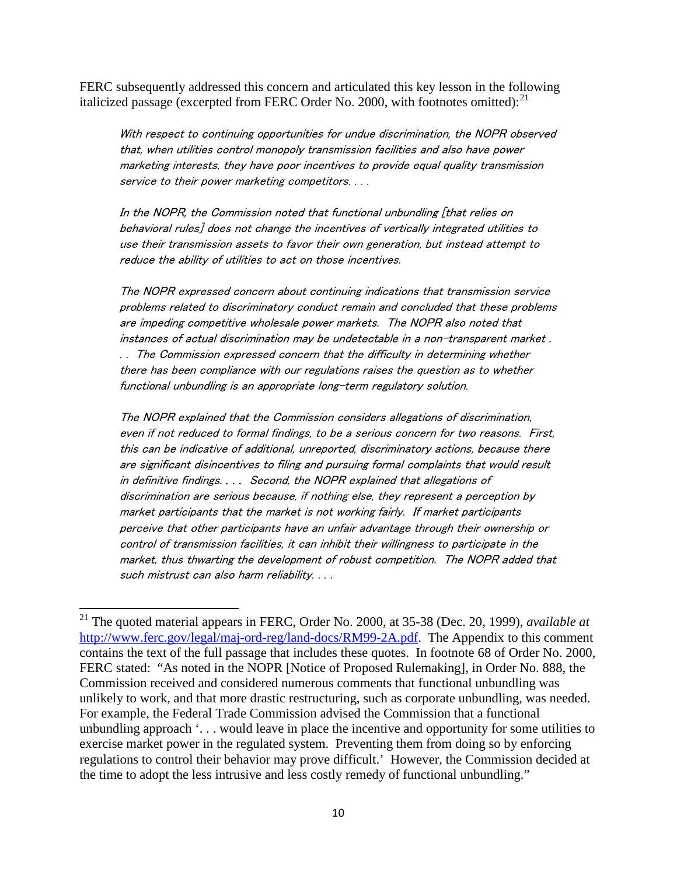FERC subsequently addressed this concern and articulated this key lesson in the following italicized passage (excerpted from FERC Order No. 2000, with footnotes omitted):<sup>[21](#page-9-0)</sup>

With respect to continuing opportunities for undue discrimination, the NOPR observed that, when utilities control monopoly transmission facilities and also have power marketing interests, they have poor incentives to provide equal quality transmission service to their power marketing competitors. . . .

In the NOPR, the Commission noted that functional unbundling [that relies on behavioral rules] does not change the incentives of vertically integrated utilities to use their transmission assets to favor their own generation, but instead attempt to reduce the ability of utilities to act on those incentives.

The NOPR expressed concern about continuing indications that transmission service problems related to discriminatory conduct remain and concluded that these problems are impeding competitive wholesale power markets. The NOPR also noted that instances of actual discrimination may be undetectable in a non-transparent market . . . The Commission expressed concern that the difficulty in determining whether there has been compliance with our regulations raises the question as to whether functional unbundling is an appropriate long-term regulatory solution.

The NOPR explained that the Commission considers allegations of discrimination, even if not reduced to formal findings, to be a serious concern for two reasons. First, this can be indicative of additional, unreported, discriminatory actions, because there are significant disincentives to filing and pursuing formal complaints that would result in definitive findings. . . . Second, the NOPR explained that allegations of discrimination are serious because, if nothing else, they represent a perception by market participants that the market is not working fairly. If market participants perceive that other participants have an unfair advantage through their ownership or control of transmission facilities, it can inhibit their willingness to participate in the market, thus thwarting the development of robust competition. The NOPR added that such mistrust can also harm reliability. . . .

<span id="page-9-0"></span><sup>21</sup> The quoted material appears in FERC, Order No. 2000, at 35-38 (Dec. 20, 1999), *available at* [http://www.ferc.gov/legal/maj-ord-reg/land-docs/RM99-2A.pdf.](http://www.ferc.gov/legal/maj-ord-reg/land-docs/RM99-2A.pdf) The Appendix to this comment contains the text of the full passage that includes these quotes. In footnote 68 of Order No. 2000, FERC stated: "As noted in the NOPR [Notice of Proposed Rulemaking], in Order No. 888, the Commission received and considered numerous comments that functional unbundling was unlikely to work, and that more drastic restructuring, such as corporate unbundling, was needed. For example, the Federal Trade Commission advised the Commission that a functional unbundling approach '. . . would leave in place the incentive and opportunity for some utilities to exercise market power in the regulated system. Preventing them from doing so by enforcing regulations to control their behavior may prove difficult.' However, the Commission decided at the time to adopt the less intrusive and less costly remedy of functional unbundling."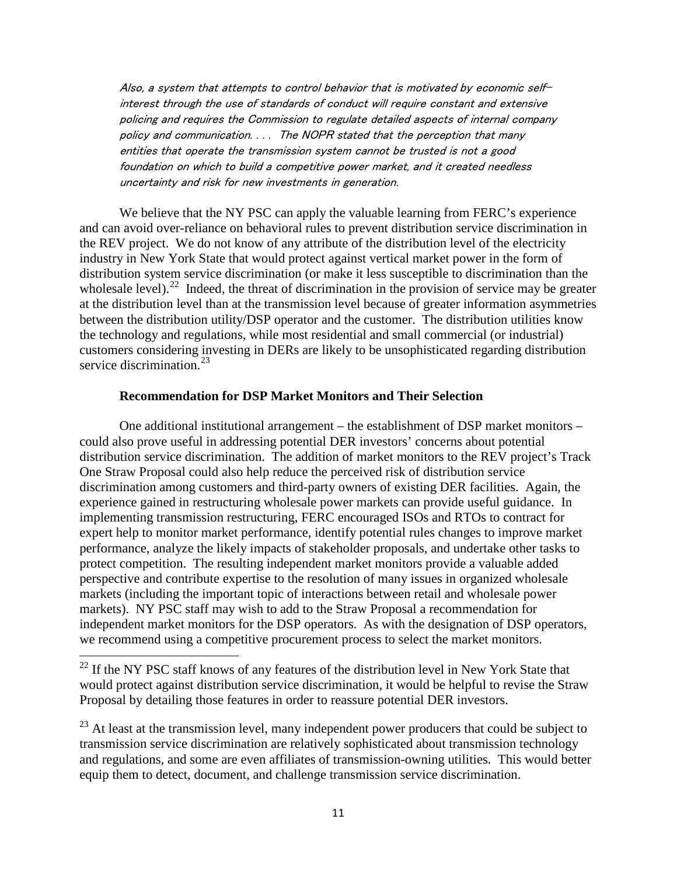Also, a system that attempts to control behavior that is motivated by economic selfinterest through the use of standards of conduct will require constant and extensive policing and requires the Commission to regulate detailed aspects of internal company policy and communication. . . . The NOPR stated that the perception that many entities that operate the transmission system cannot be trusted is not a good foundation on which to build a competitive power market, and it created needless uncertainty and risk for new investments in generation.

We believe that the NY PSC can apply the valuable learning from FERC's experience and can avoid over-reliance on behavioral rules to prevent distribution service discrimination in the REV project. We do not know of any attribute of the distribution level of the electricity industry in New York State that would protect against vertical market power in the form of distribution system service discrimination (or make it less susceptible to discrimination than the wholesale level).<sup>[22](#page-10-0)</sup> Indeed, the threat of discrimination in the provision of service may be greater at the distribution level than at the transmission level because of greater information asymmetries between the distribution utility/DSP operator and the customer. The distribution utilities know the technology and regulations, while most residential and small commercial (or industrial) customers considering investing in DERs are likely to be unsophisticated regarding distribution service discrimination.<sup>[23](#page-10-1)</sup>

### **Recommendation for DSP Market Monitors and Their Selection**

One additional institutional arrangement – the establishment of DSP market monitors – could also prove useful in addressing potential DER investors' concerns about potential distribution service discrimination. The addition of market monitors to the REV project's Track One Straw Proposal could also help reduce the perceived risk of distribution service discrimination among customers and third-party owners of existing DER facilities. Again, the experience gained in restructuring wholesale power markets can provide useful guidance. In implementing transmission restructuring, FERC encouraged ISOs and RTOs to contract for expert help to monitor market performance, identify potential rules changes to improve market performance, analyze the likely impacts of stakeholder proposals, and undertake other tasks to protect competition. The resulting independent market monitors provide a valuable added perspective and contribute expertise to the resolution of many issues in organized wholesale markets (including the important topic of interactions between retail and wholesale power markets). NY PSC staff may wish to add to the Straw Proposal a recommendation for independent market monitors for the DSP operators. As with the designation of DSP operators, we recommend using a competitive procurement process to select the market monitors.

<span id="page-10-0"></span> $22$  If the NY PSC staff knows of any features of the distribution level in New York State that would protect against distribution service discrimination, it would be helpful to revise the Straw Proposal by detailing those features in order to reassure potential DER investors.

<span id="page-10-1"></span> $23$  At least at the transmission level, many independent power producers that could be subject to transmission service discrimination are relatively sophisticated about transmission technology and regulations, and some are even affiliates of transmission-owning utilities. This would better equip them to detect, document, and challenge transmission service discrimination.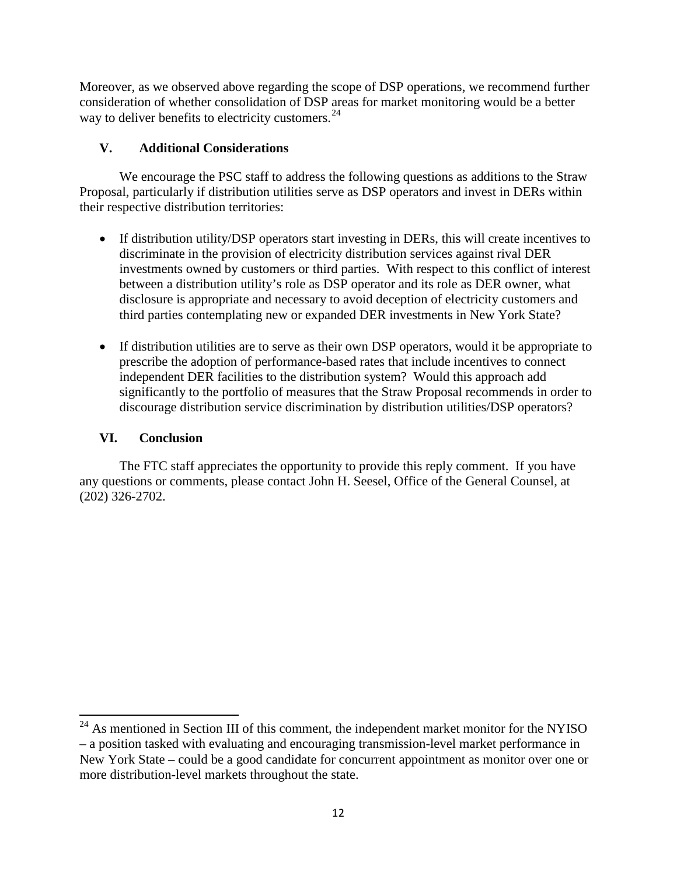Moreover, as we observed above regarding the scope of DSP operations, we recommend further consideration of whether consolidation of DSP areas for market monitoring would be a better way to deliver benefits to electricity customers.<sup>[24](#page-11-0)</sup>

# **V. Additional Considerations**

We encourage the PSC staff to address the following questions as additions to the Straw Proposal, particularly if distribution utilities serve as DSP operators and invest in DERs within their respective distribution territories:

- If distribution utility/DSP operators start investing in DERs, this will create incentives to discriminate in the provision of electricity distribution services against rival DER investments owned by customers or third parties. With respect to this conflict of interest between a distribution utility's role as DSP operator and its role as DER owner, what disclosure is appropriate and necessary to avoid deception of electricity customers and third parties contemplating new or expanded DER investments in New York State?
- If distribution utilities are to serve as their own DSP operators, would it be appropriate to prescribe the adoption of performance-based rates that include incentives to connect independent DER facilities to the distribution system? Would this approach add significantly to the portfolio of measures that the Straw Proposal recommends in order to discourage distribution service discrimination by distribution utilities/DSP operators?

# **VI. Conclusion**

The FTC staff appreciates the opportunity to provide this reply comment. If you have any questions or comments, please contact John H. Seesel, Office of the General Counsel, at (202) 326-2702.

<span id="page-11-0"></span> $24$  As mentioned in Section III of this comment, the independent market monitor for the NYISO – a position tasked with evaluating and encouraging transmission-level market performance in New York State – could be a good candidate for concurrent appointment as monitor over one or more distribution-level markets throughout the state.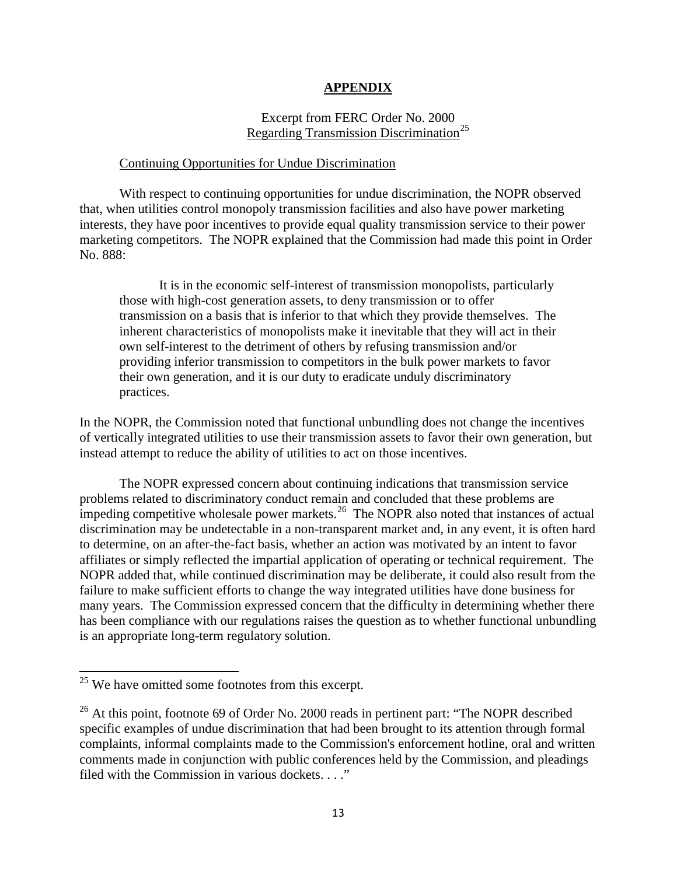#### **APPENDIX**

## Excerpt from FERC Order No. 2000 Regarding Transmission Discrimination<sup>[25](#page-12-0)</sup>

#### Continuing Opportunities for Undue Discrimination

With respect to continuing opportunities for undue discrimination, the NOPR observed that, when utilities control monopoly transmission facilities and also have power marketing interests, they have poor incentives to provide equal quality transmission service to their power marketing competitors. The NOPR explained that the Commission had made this point in Order No. 888:

It is in the economic self-interest of transmission monopolists, particularly those with high-cost generation assets, to deny transmission or to offer transmission on a basis that is inferior to that which they provide themselves. The inherent characteristics of monopolists make it inevitable that they will act in their own self-interest to the detriment of others by refusing transmission and/or providing inferior transmission to competitors in the bulk power markets to favor their own generation, and it is our duty to eradicate unduly discriminatory practices.

In the NOPR, the Commission noted that functional unbundling does not change the incentives of vertically integrated utilities to use their transmission assets to favor their own generation, but instead attempt to reduce the ability of utilities to act on those incentives.

The NOPR expressed concern about continuing indications that transmission service problems related to discriminatory conduct remain and concluded that these problems are impeding competitive wholesale power markets.<sup>26</sup> The NOPR also noted that instances of actual discrimination may be undetectable in a non-transparent market and, in any event, it is often hard to determine, on an after-the-fact basis, whether an action was motivated by an intent to favor affiliates or simply reflected the impartial application of operating or technical requirement. The NOPR added that, while continued discrimination may be deliberate, it could also result from the failure to make sufficient efforts to change the way integrated utilities have done business for many years. The Commission expressed concern that the difficulty in determining whether there has been compliance with our regulations raises the question as to whether functional unbundling is an appropriate long-term regulatory solution.

<span id="page-12-0"></span><sup>&</sup>lt;sup>25</sup> We have omitted some footnotes from this excerpt.

<span id="page-12-1"></span> $^{26}$  At this point, footnote 69 of Order No. 2000 reads in pertinent part: "The NOPR described specific examples of undue discrimination that had been brought to its attention through formal complaints, informal complaints made to the Commission's enforcement hotline, oral and written comments made in conjunction with public conferences held by the Commission, and pleadings filed with the Commission in various dockets. . . ."